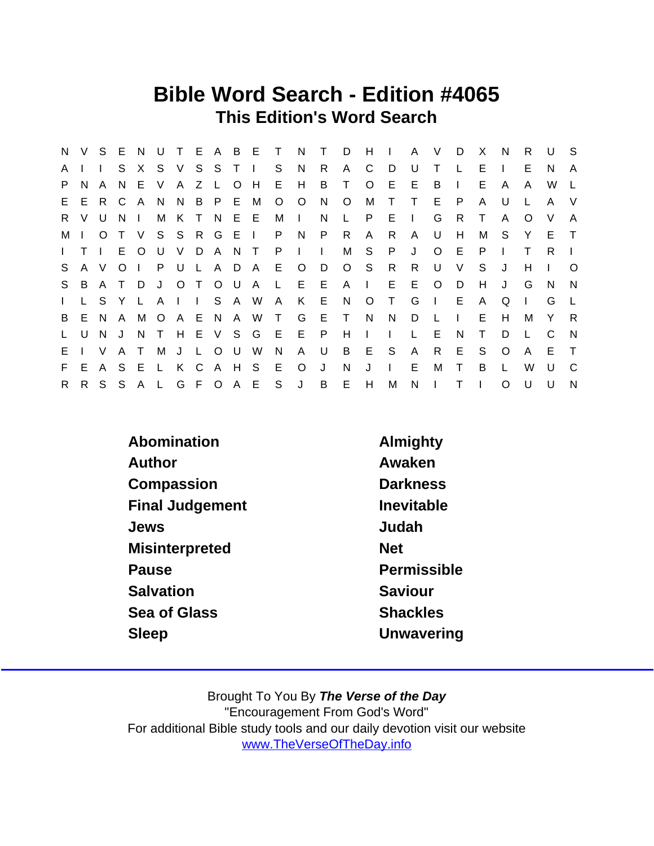### Bible Word Search - Edition #4065 This Edition's Word Search

| N.           | V.     | S E          |              | N.           |              |                               |              |         |                | UTEABET       |              | N            | $\top$ | D        | H            | $\mathbf{L}$ | A      | V            | D            | X            | <sup>N</sup> | R.       | U            | - S          |
|--------------|--------|--------------|--------------|--------------|--------------|-------------------------------|--------------|---------|----------------|---------------|--------------|--------------|--------|----------|--------------|--------------|--------|--------------|--------------|--------------|--------------|----------|--------------|--------------|
| A            |        |              | S.           | X.           |              | S V                           |              | S S     | T <sub>1</sub> |               | S            | <b>N</b>     | R.     | A        | C            | D            | U      | т            |              | E.           | $\mathbf{I}$ | E.       | N            | A            |
| P.           | N      | A            | -N           | E.           | V            | A                             | Z            | L O     |                | H             | E.           | H            | B      | Τ        | $\circ$      | E            | E      | B            | $\mathbf{L}$ | E.           | A            | A        | W            |              |
|              | E E    |              | R C          | A            | N.           | N B P E M                     |              |         |                |               | $\circ$      | $\circ$      | N      | $\circ$  | M            | $\top$       | $\top$ | E.           | P            | A            | U            |          | A            | V            |
| R.           | V.     | U            | N.           | $\mathbf{I}$ | М            | K T N E E                     |              |         |                |               | М            | $\mathbf{I}$ | N      | L.       | P.           | E.           | $\Box$ | G            | R.           | $\top$       | A            | $\Omega$ | V            | A            |
| М            |        | $\Omega$     |              | $\vee$       |              | S S R G E I                   |              |         |                |               | P.           | N            | P      | R.       | $\mathsf{A}$ | R.           | A      | U            | H            | м            | S.           | Y        | E.           | $\top$       |
| $\mathbf{L}$ | $\top$ | $\mathbf{I}$ | E.           | $\circ$      |              | U V D A N T                   |              |         |                |               | P            | $\mathbf{L}$ | $\Box$ | М        | S            | P            | J      | $\circ$      | E.           | P            | $\mathbf{L}$ | T.       | R.           |              |
| S.           |        | A V          | $\circ$      |              |              | P U L                         |              |         |                | A D A         | E –          | $\circ$      | D      |          | $O_S$        | R.           | R.     | U            | V            | S            | J            | н        |              | O            |
| S            | B      | A T          |              | D            | J            |                               | O T          |         |                | O U A L       |              | E E          |        | $A \mid$ |              | E.           | E      | $\circ$      | D            | H            | J            | G        | N            | <sup>N</sup> |
| $\mathbf{L}$ | L.     | S.           | Y            | L.           | $\mathsf{A}$ | $\mathbf{1}$ and $\mathbf{1}$ |              |         | S A W          |               | $\mathsf{A}$ | K E          |        | N        | $\circ$      | $\top$       | G      | $\mathbf{I}$ | E            | A            | Q            |          | G            | $\perp$      |
| B            | E      | <sup>N</sup> | $\mathsf{A}$ |              | MOAE         |                               |              |         |                | N A W T       |              | G            | E      | $\top$   | N            | N            | D      | - L          | $\mathbf{L}$ | E            | H            | М        | Y            | R            |
| L.           | U      | N            | J            | N            | $\top$       |                               |              |         |                | H E V S G E   |              | E.           | P.     | Н        | $\mathbf{L}$ | $\mathbf{L}$ | L.     | E.           | N            | $\top$       | D            |          | C            | - N          |
| E.           |        | V            | A            | $\top$       | M            | J                             | $\mathsf{L}$ | $\circ$ | U .            | - W           | N            | A            | U      | B        | E            | S            | A      | R            | E.           | S            | $\circ$      | A        | E.           | $\top$       |
| F.           | E.     | A            | -S           | E            | $\mathbf{L}$ | K                             | - C          |         | A H S          |               | E            | $\circ$      | J      | N        | J            | $\mathbf{I}$ | E      | м            | T            | B            | $\mathbf{L}$ | W        | $\mathbf{U}$ | C.           |
| R.           |        | R S S        |              |              |              |                               |              |         |                | A L G F O A E | S            | J            | B      | E        | H            | M            | N      | $\mathbf{L}$ | Τ            | $\mathbf{I}$ | $\Omega$     | $\cup$   | $\cup$       | N            |

| Abomination            | Almighty        |
|------------------------|-----------------|
| Author                 | Awaken          |
| Compassion             | <b>Darkness</b> |
| <b>Final Judgement</b> | Inevitable      |
| Jews                   | Judah           |
| <b>Misinterpreted</b>  | <b>Net</b>      |
| Pause                  | Permissible     |
| Salvation              | Saviour         |
| Sea of Glass           | <b>Shackles</b> |
| Sleep                  | Unwavering      |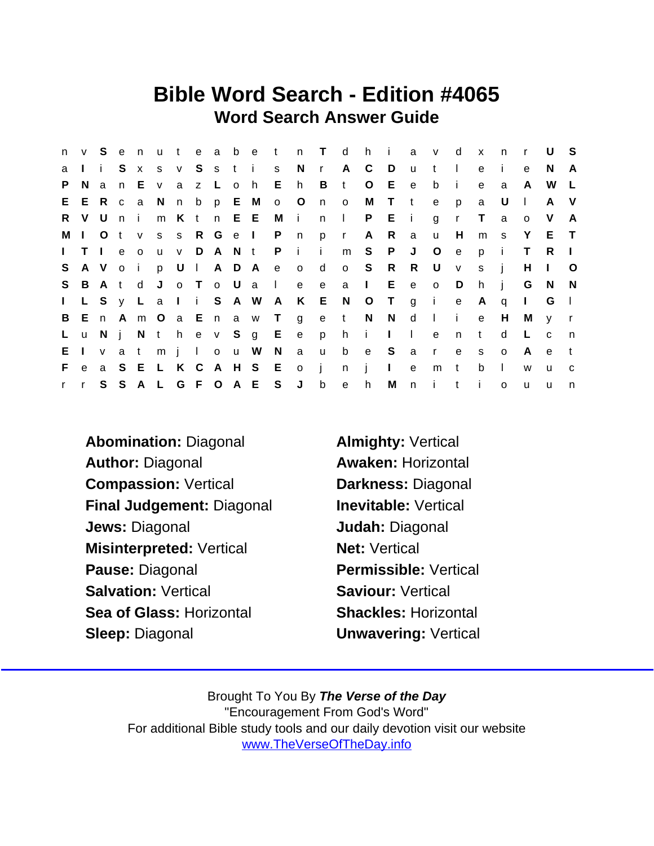### Bible Word Search - Edition #4065 Word Search Answer Guide

| n            | V            | S.        | e   | n            | u t |   |             | e a b e t               |     | n T d                     |              |              | h               | $\mathbf{I}$ is a set |          | a v          | ∣ d          | $\mathsf{x}$ | n.           | $\mathsf{r}$ | U            | - S          |
|--------------|--------------|-----------|-----|--------------|-----|---|-------------|-------------------------|-----|---------------------------|--------------|--------------|-----------------|-----------------------|----------|--------------|--------------|--------------|--------------|--------------|--------------|--------------|
| a            |              | li.       | S.  | $\mathsf{x}$ |     |   |             | s v S s t i s           |     | N                         |              | r A C        |                 | D                     | U.       | $\mathbf{t}$ | $\Box$       | e            | -i-          | e            | N.           | A            |
| P.           | N.           | a         | n   | Е.           | V   | a | z L o h     |                         | E h |                           | B            | t            | $\circ$         | E                     | e        | b            | i.           | e            | a            | A            | W            | L.           |
| E            |              |           |     |              |     |   |             | E R c a N n b p E M o O |     |                           | n o          |              | M               | T t                   |          | e            | p            | a            | U            | $\Box$       | A            | - V          |
| R.           |              | V U n i   |     |              |     |   |             | m K t n E E             | M   | $\mathbf{I}$              |              | n I          |                 | P E i                 |          | g            | $\mathsf{r}$ | $\top$       | a            | $\Omega$     | V            | A            |
| М            | $\mathbf{L}$ | O t       |     | $\mathsf{V}$ |     |   | s s R G e I |                         | P n |                           |              | p r          | A               | R                     | a        | <b>u</b>     | H            | m            | $^{\circ}$ S | Y            | ET           |              |
| $\mathbf{L}$ |              | $T \perp$ | e   | $\circ$      |     |   |             | u v D A N t P           |     | $-1$ $-1$                 |              | m S          |                 | $\mathsf{P}$          | J        | $\circ$      | e            | p            | -i-          | T.           | R.           | -1           |
| S.           |              | AVoi      |     |              |     |   |             |                         |     | p U I A D A e o d         |              | o S          |                 | R                     | R        | U            | V            | S.           | $\mathbf{j}$ | H            | $\mathbf{L}$ | O            |
| S            | B            | At        |     | d            | J   |   |             |                         |     | o To U a I e              | e —          | a            | $\sim 1$ .      | E                     | e        | $\circ$      | D            | h            | $\mathbf{i}$ | G            | N.           | -N           |
| $\mathbf{L}$ |              |           |     |              |     |   |             |                         |     | L S y L a I i S A W A K E |              | N            | O T             |                       |          | g i          | e            | A            | q            | $\mathbf{L}$ | G            | $\Box$       |
| B            | E.           | n A       |     |              |     |   |             | m O a E n a w T         |     |                           |              | get NN       |                 |                       | d        | $\mathbb{R}$ | $\mathbf{i}$ | e            | H            | М            | V            | $\mathsf{r}$ |
| $\mathsf{L}$ | <b>u</b>     | N         | -i- |              |     |   |             | N t h e v S g E         |     | e                         | $\mathsf{p}$ | h.           | $\sim$ i $\sim$ | $\mathbf{L}$          | $\Box$   | $\mathbf{e}$ | $\mathsf{n}$ | t            | d            | L.           | $\mathbf{C}$ | n,           |
| E.           | $\mathbf{L}$ | V         | a   | t            |     |   | m j l o u W |                         | N   | a                         | $\mathsf{u}$ | b            | e S             |                       | $\alpha$ | $\mathbf{r}$ | $\mathbf{e}$ | S            | $\circ$      | A            | e            | t            |
| F.           | $\mathbf{e}$ | a S       |     | E L K C      |     |   |             | A H S E                 |     | $\overline{O}$            | $\mathbf{I}$ | n            | $\mathbf{i}$    | $\mathbf{L}$          | e        | m            | t            | b            | $\mathbf{I}$ | W            | u            | C.           |
| $\mathbf{r}$ | $\mathbf{r}$ | S.        | S   |              |     |   |             | A L G F O A E S         |     | J                         | $\mathsf{b}$ | $\mathsf{e}$ | h               |                       | M n      | $\mathbf{i}$ | $\mathbf{t}$ | - i          | $\Omega$     | <b>u</b>     | u            | n            |

Abomination: Diagonal **Almighty: Vertical** Author: Diagonal **Awaken: Horizontal** Compassion: Vertical Darkness: Diagonal Final Judgement: Diagonal Inevitable: Vertical Jews: Diagonal Judah: Diagonal Misinterpreted: Vertical Net: Vertical Pause: Diagonal Permissible: Vertical Salvation: Vertical Saviour: Vertical Sea of Glass: Horizontal Shackles: Horizontal Sleep: Diagonal Unwavering: Vertical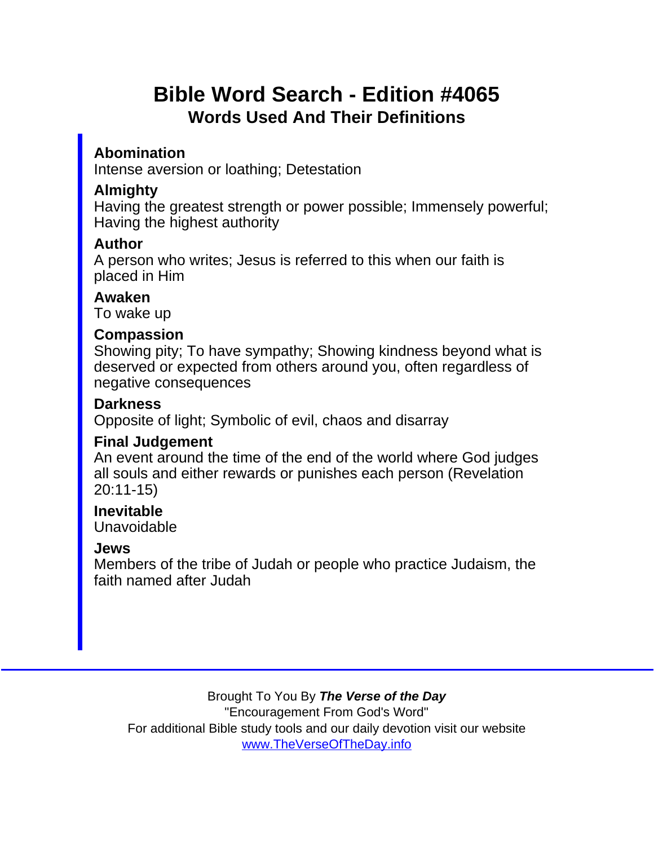# Bible Word Search - Edition #4065 Words Used And Their Definitions

Abomination

Intense aversion or loathing; Detestation

#### **Almighty**

Having the greatest strength or power possible; Immensely powerful; Having the highest authority

Author

A person who writes; Jesus is referred to this when our faith is placed in Him

Awaken

To wake up

**Compassion** 

Showing pity; To have sympathy; Showing kindness beyond what is deserved or expected from others around you, often regardless of negative consequences

**Darkness** 

Opposite of light; Symbolic of evil, chaos and disarray

Final Judgement

An event around the time of the end of the world where God judges all souls and either rewards or punishes each person (Revelation 20:11-15)

Inevitable Unavoidable

Jews

Members of the tribe of Judah or people who practice Judaism, the faith named after Judah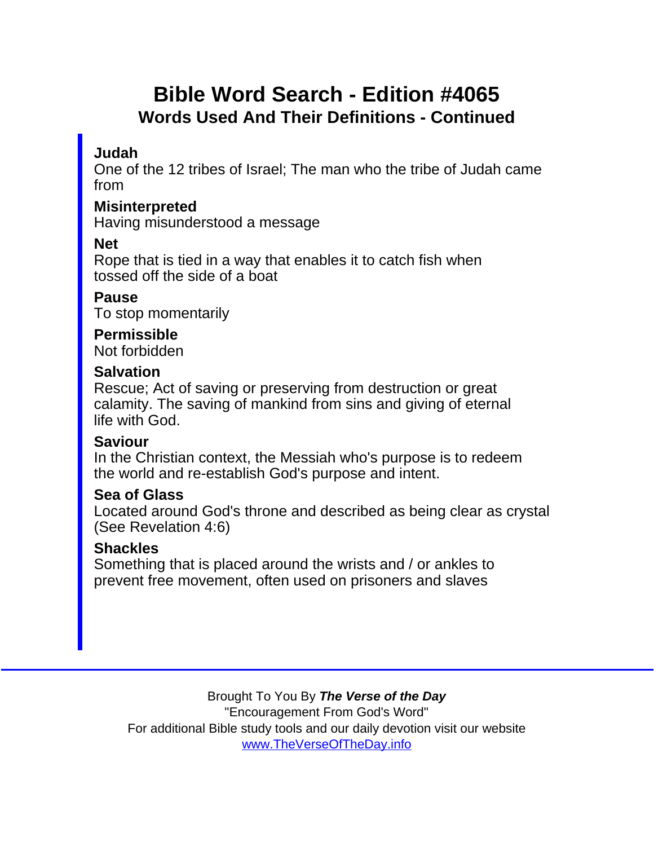## Bible Word Search - Edition #4065 Words Used And Their Definitions - Continued

Judah

One of the 12 tribes of Israel; The man who the tribe of Judah came from

**Misinterpreted** Having misunderstood a message

Net

Rope that is tied in a way that enables it to catch fish when tossed off the side of a boat

Pause To stop momentarily

Permissible Not forbidden

**Salvation** 

Rescue; Act of saving or preserving from destruction or great calamity. The saving of mankind from sins and giving of eternal life with God.

**Saviour** 

In the Christian context, the Messiah who's purpose is to redeem the world and re-establish God's purpose and intent.

Sea of Glass

Located around God's throne and described as being clear as crystal (See Revelation 4:6)

**Shackles** 

Something that is placed around the wrists and / or ankles to prevent free movement, often used on prisoners and slaves